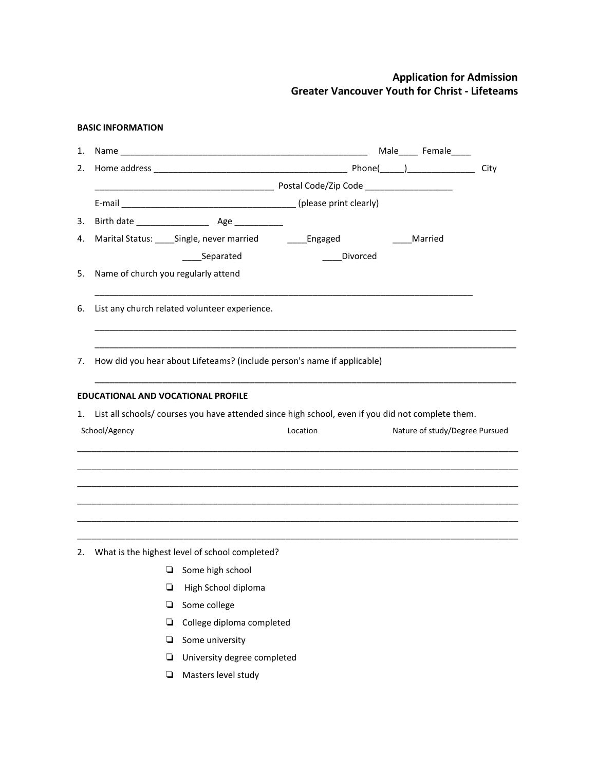## **BASIC INFORMATION**

| 1. | Name                                      |                                                |                                                                                                   | Male_____ Female_              |      |
|----|-------------------------------------------|------------------------------------------------|---------------------------------------------------------------------------------------------------|--------------------------------|------|
| 2. |                                           |                                                |                                                                                                   |                                | City |
|    |                                           |                                                |                                                                                                   |                                |      |
|    |                                           |                                                |                                                                                                   |                                |      |
| 3. |                                           |                                                |                                                                                                   |                                |      |
| 4. |                                           | Marital Status: _____Single, never married     | _____Engaged                                                                                      | Married                        |      |
|    |                                           | _Separated                                     | Divorced                                                                                          |                                |      |
| 5. | Name of church you regularly attend       |                                                |                                                                                                   |                                |      |
| 6. |                                           | List any church related volunteer experience.  |                                                                                                   |                                |      |
| 7. |                                           |                                                | How did you hear about Lifeteams? (include person's name if applicable)                           |                                |      |
|    | <b>EDUCATIONAL AND VOCATIONAL PROFILE</b> |                                                |                                                                                                   |                                |      |
| 1. |                                           |                                                | List all schools/ courses you have attended since high school, even if you did not complete them. |                                |      |
|    | School/Agency                             |                                                | Location                                                                                          | Nature of study/Degree Pursued |      |
|    |                                           |                                                |                                                                                                   |                                |      |
|    |                                           |                                                |                                                                                                   |                                |      |
|    |                                           |                                                |                                                                                                   |                                |      |
|    |                                           |                                                |                                                                                                   |                                |      |
| 2. |                                           | What is the highest level of school completed? |                                                                                                   |                                |      |
|    | ⊔                                         | Some high school                               |                                                                                                   |                                |      |
|    | ❏                                         |                                                |                                                                                                   |                                |      |
|    |                                           | High School diploma                            |                                                                                                   |                                |      |
|    | ▫                                         | Some college                                   |                                                                                                   |                                |      |
|    | ❏                                         | College diploma completed                      |                                                                                                   |                                |      |
|    | ❏                                         | Some university                                |                                                                                                   |                                |      |

- ❏ University degree completed
- ❏ Masters level study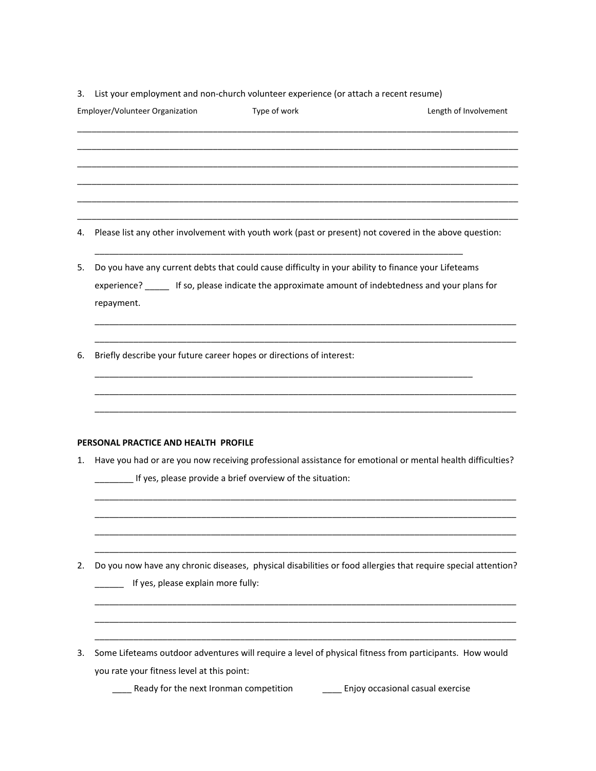3. List your employment and non-church volunteer experience (or attach a recent resume)

|    | Employer/Volunteer Organization                                                    | Type of work                                                    | Length of Involvement                                                                                                                                                                                      |
|----|------------------------------------------------------------------------------------|-----------------------------------------------------------------|------------------------------------------------------------------------------------------------------------------------------------------------------------------------------------------------------------|
|    |                                                                                    |                                                                 |                                                                                                                                                                                                            |
| 4. |                                                                                    |                                                                 | Please list any other involvement with youth work (past or present) not covered in the above question:                                                                                                     |
| 5. |                                                                                    |                                                                 | Do you have any current debts that could cause difficulty in your ability to finance your Lifeteams<br>experience? ______ If so, please indicate the approximate amount of indebtedness and your plans for |
| 6. | repayment.<br>Briefly describe your future career hopes or directions of interest: |                                                                 |                                                                                                                                                                                                            |
|    |                                                                                    |                                                                 |                                                                                                                                                                                                            |
| 1. | PERSONAL PRACTICE AND HEALTH PROFILE                                               | _____ If yes, please provide a brief overview of the situation: | Have you had or are you now receiving professional assistance for emotional or mental health difficulties?                                                                                                 |
| 2. | If yes, please explain more fully:                                                 |                                                                 | Do you now have any chronic diseases, physical disabilities or food allergies that require special attention?                                                                                              |
| 3. | you rate your fitness level at this point:                                         |                                                                 | Some Lifeteams outdoor adventures will require a level of physical fitness from participants. How would                                                                                                    |
|    | Ready for the next Ironman competition                                             |                                                                 | Enjoy occasional casual exercise                                                                                                                                                                           |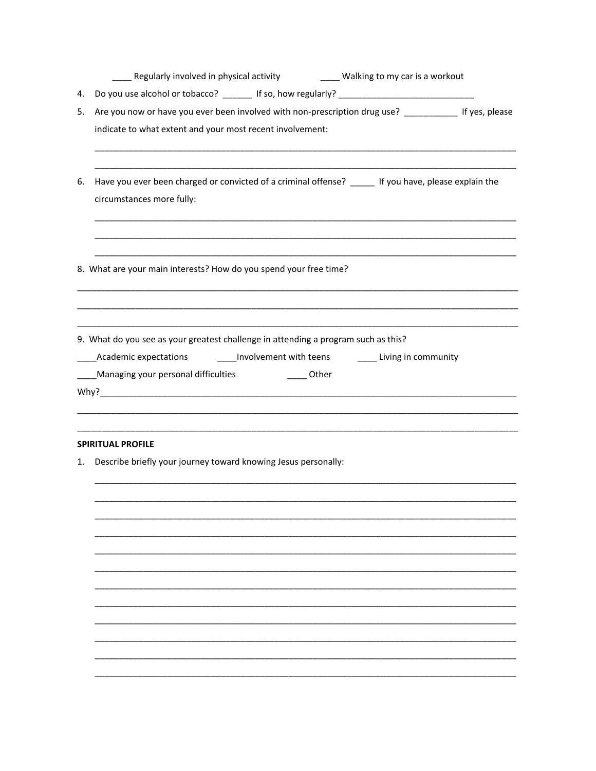| Regularly involved in physical activity | Walking to my car is a workout |
|-----------------------------------------|--------------------------------|
|                                         |                                |

- 4. Do you use alcohol or tobacco? \_\_\_\_\_\_\_ If so, how regularly? \_\_\_\_\_\_\_\_\_\_\_\_\_\_\_\_\_
- 5. Are you now or have you ever been involved with non-prescription drug use? \_\_\_\_\_\_\_\_\_\_\_\_\_ If yes, please indicate to what extent and your most recent involvement:
- 6. Have you ever been charged or convicted of a criminal offense? \_\_\_\_\_ If you have, please explain the circumstances more fully:
- 8. What are your main interests? How do you spend your free time?

9. What do you see as your greatest challenge in attending a program such as this? \_\_\_\_Involvement with teens \_\_\_\_\_\_\_\_\_ Living in community Academic expectations \_\_\_\_Managing your personal difficulties \_\_\_\_\_\_\_\_\_\_\_\_\_\_\_ Other 

#### **SPIRITUAL PROFILE**

1. Describe briefly your journey toward knowing Jesus personally: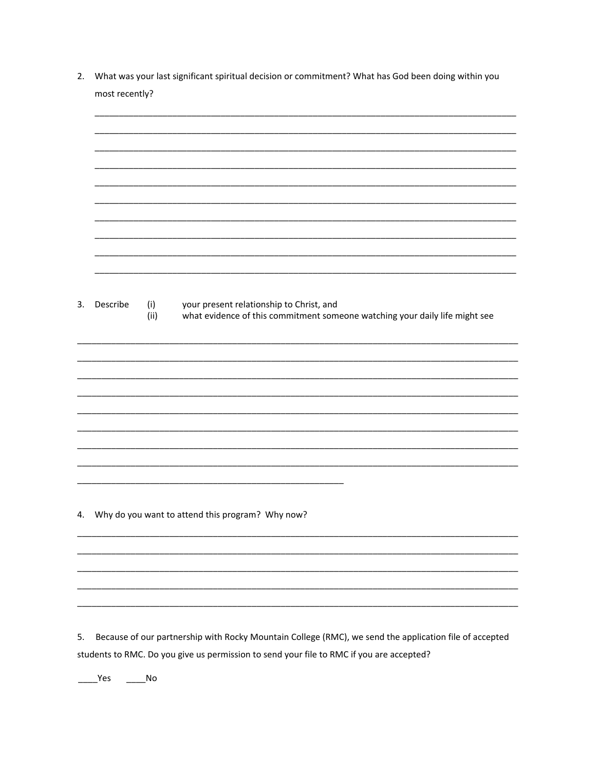2. What was your last significant spiritual decision or commitment? What has God been doing within you most recently?

| 3. | Describe | (i)<br>(ii) | your present relationship to Christ, and<br>what evidence of this commitment someone watching your daily life might see |
|----|----------|-------------|-------------------------------------------------------------------------------------------------------------------------|
|    |          |             |                                                                                                                         |
|    |          |             |                                                                                                                         |
| 4. |          |             | Why do you want to attend this program? Why now?                                                                        |
|    |          |             |                                                                                                                         |
| 5. |          |             | Because of our partnership with Rocky Mountain College (RMC), we send the application file of accepted                  |

students to RMC. Do you give us permission to send your file to RMC if you are accepted?

 $\frac{1}{\sqrt{1-\frac{1}{2}}}$ Yes  $\frac{1}{\sqrt{1-\frac{1}{2}}}$ No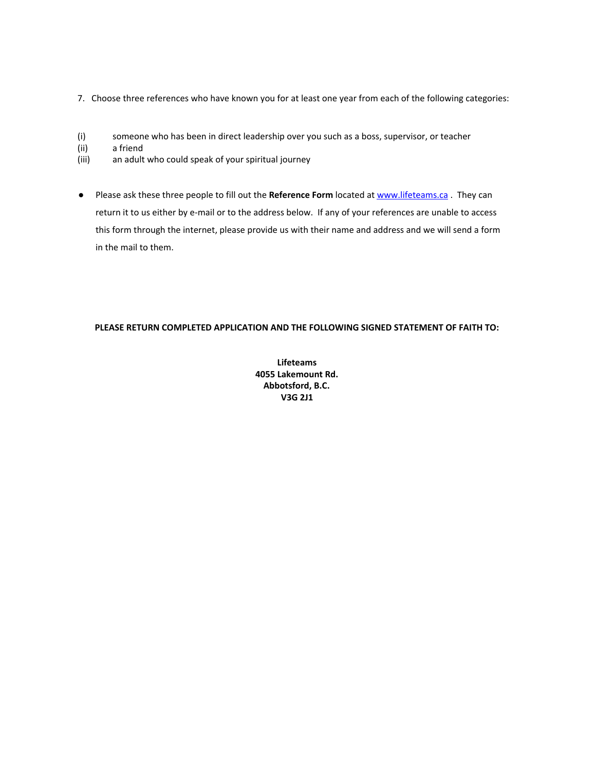- 7. Choose three references who have known you for at least one year from each of the following categories:
- (i) someone who has been in direct leadership over you such as a boss, supervisor, or teacher
- (ii) a friend
- (iii) an adult who could speak of your spiritual journey
- Please ask these three people to fill out the **Reference Form** located at www.lifeteams.ca . They can return it to us either by e-mail or to the address below. If any of your references are unable to access this form through the internet, please provide us with their name and address and we will send a form in the mail to them.

# **PLEASE RETURN COMPLETED APPLICATION AND THE FOLLOWING SIGNED STATEMENT OF FAITH TO:**

**Lifeteams 4055 Lakemount Rd. Abbotsford, B.C. V3G 2J1**